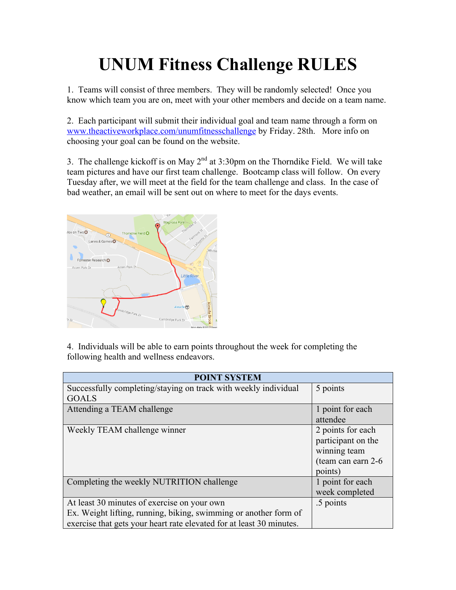## **UNUM Fitness Challenge RULES**

1. Teams will consist of three members. They will be randomly selected! Once you know which team you are on, meet with your other members and decide on a team name.

2. Each participant will submit their individual goal and team name through a form on www.theactiveworkplace.com/unumfitnesschallenge by Friday. 28th. More info on choosing your goal can be found on the website.

3. The challenge kickoff is on May  $2<sup>nd</sup>$  at 3:30pm on the Thorndike Field. We will take team pictures and have our first team challenge. Bootcamp class will follow. On every Tuesday after, we will meet at the field for the team challenge and class. In the case of bad weather, an email will be sent out on where to meet for the days events.



4. Individuals will be able to earn points throughout the week for completing the following health and wellness endeavors.

| <b>POINT SYSTEM</b>                                                  |                     |
|----------------------------------------------------------------------|---------------------|
| Successfully completing/staying on track with weekly individual      | 5 points            |
| <b>GOALS</b>                                                         |                     |
| Attending a TEAM challenge                                           | 1 point for each    |
|                                                                      | attendee            |
| Weekly TEAM challenge winner                                         | 2 points for each   |
|                                                                      | participant on the  |
|                                                                      | winning team        |
|                                                                      | (team can earn 2-6) |
|                                                                      | points)             |
| Completing the weekly NUTRITION challenge                            | 1 point for each    |
|                                                                      | week completed      |
| At least 30 minutes of exercise on your own                          | .5 points           |
| Ex. Weight lifting, running, biking, swimming or another form of     |                     |
| exercise that gets your heart rate elevated for at least 30 minutes. |                     |